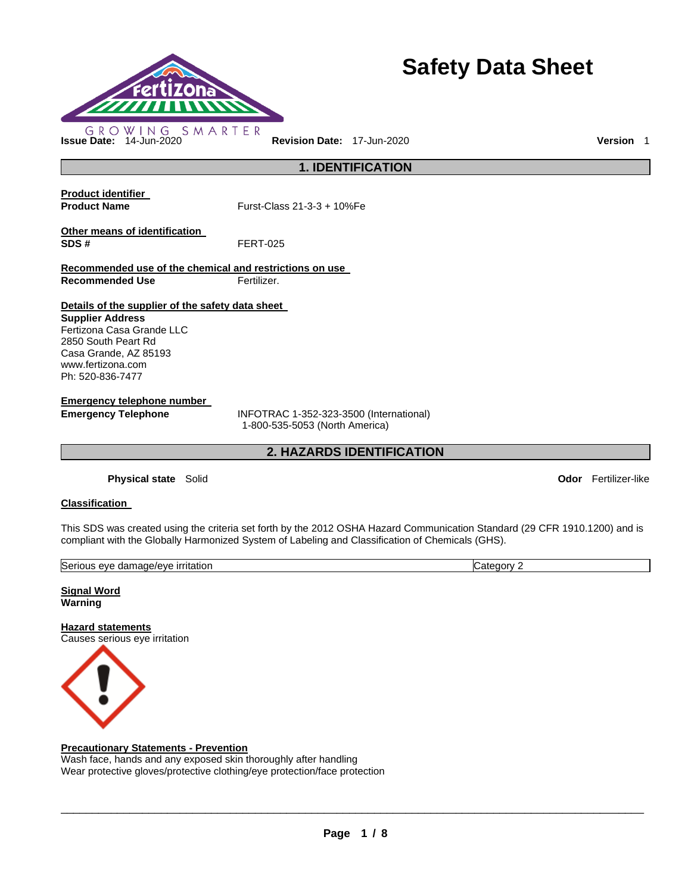

# **Safety Data Sheet**

**1. IDENTIFICATION** 

**Product identifier** 

**Product Name Furst-Class 21-3-3 + 10%Fe** 

**Other means of identification SDS #** FERT-025

**Recommended use of the chemical and restrictions on use Recommended Use Fertilizer.** 

**Details of the supplier of the safety data sheet** 

**Supplier Address** Fertizona Casa Grande LLC 2850 South Peart Rd Casa Grande, AZ 85193 www.fertizona.com Ph: 520-836-7477

**Emergency telephone number** 

**Emergency Telephone** INFOTRAC 1-352-323-3500 (International) 1-800-535-5053 (North America)

**2. HAZARDS IDENTIFICATION** 

**Physical state** Solid **Odor** Fertilizer-like

## **Classification**

This SDS was created using the criteria set forth by the 2012 OSHA Hazard Communication Standard (29 CFR 1910.1200) and is compliant with the Globally Harmonized System of Labeling and Classification of Chemicals (GHS).

| Serious<br><u>ırrıtatıon</u><br>nade/et<br>/eve<br>dam<br>eve<br>$\cdots$<br>. | <br>eaor∿<br>.ate |
|--------------------------------------------------------------------------------|-------------------|
|                                                                                |                   |

**Signal Word Warning** 

**Hazard statements** Causes serious eye irritation



## **Precautionary Statements - Prevention**

Wash face, hands and any exposed skin thoroughly after handling Wear protective gloves/protective clothing/eye protection/face protection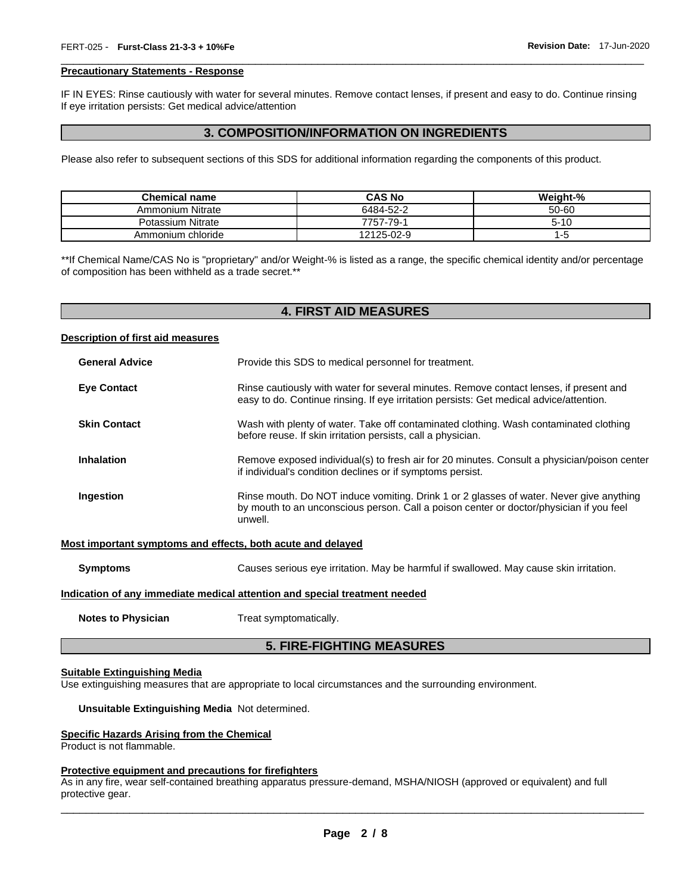#### **Precautionary Statements - Response**

IF IN EYES: Rinse cautiously with water for several minutes. Remove contact lenses, if present and easy to do. Continue rinsing If eye irritation persists: Get medical advice/attention

\_\_\_\_\_\_\_\_\_\_\_\_\_\_\_\_\_\_\_\_\_\_\_\_\_\_\_\_\_\_\_\_\_\_\_\_\_\_\_\_\_\_\_\_\_\_\_\_\_\_\_\_\_\_\_\_\_\_\_\_\_\_\_\_\_\_\_\_\_\_\_\_\_\_\_\_\_\_\_\_\_\_\_\_\_\_\_\_\_\_\_\_\_

## **3. COMPOSITION/INFORMATION ON INGREDIENTS**

Please also refer to subsequent sections of this SDS for additional information regarding the components of this product.

| <b>Chemical name</b> | <b>CAS No</b> | Weight-% |
|----------------------|---------------|----------|
| Ammonium Nitrate     | 6484-52-2     | 50-60    |
| Potassium Nitrate    | 7757-79-1     | $5 - 10$ |
| Ammonium chloride    | 12125-02-9    | 1-5      |

\*\*If Chemical Name/CAS No is "proprietary" and/or Weight-% is listed as a range, the specific chemical identity and/or percentage of composition has been withheld as a trade secret.\*\*

## **4. FIRST AID MEASURES**

#### **Description of first aid measures**

| <b>General Advice</b> | Provide this SDS to medical personnel for treatment.                                                                                                                                          |  |
|-----------------------|-----------------------------------------------------------------------------------------------------------------------------------------------------------------------------------------------|--|
| <b>Eye Contact</b>    | Rinse cautiously with water for several minutes. Remove contact lenses, if present and<br>easy to do. Continue rinsing. If eye irritation persists: Get medical advice/attention.             |  |
| <b>Skin Contact</b>   | Wash with plenty of water. Take off contaminated clothing. Wash contaminated clothing<br>before reuse. If skin irritation persists, call a physician.                                         |  |
| Inhalation            | Remove exposed individual(s) to fresh air for 20 minutes. Consult a physician/poison center<br>if individual's condition declines or if symptoms persist.                                     |  |
| Ingestion             | Rinse mouth. Do NOT induce vomiting. Drink 1 or 2 glasses of water. Never give anything<br>by mouth to an unconscious person. Call a poison center or doctor/physician if you feel<br>unwell. |  |

#### **Most important symptoms and effects, both acute and delayed**

**Symptoms** Causes serious eye irritation. May be harmful if swallowed. May cause skin irritation.

#### **Indication of any immediate medical attention and special treatment needed**

**Notes to Physician**  Treat symptomatically.

## **5. FIRE-FIGHTING MEASURES**

#### **Suitable Extinguishing Media**

Use extinguishing measures that are appropriate to local circumstances and the surrounding environment.

#### **Unsuitable Extinguishing Media** Not determined.

#### **Specific Hazards Arising from the Chemical**

Product is not flammable.

#### **Protective equipment and precautions for firefighters**

As in any fire, wear self-contained breathing apparatus pressure-demand, MSHA/NIOSH (approved or equivalent) and full protective gear.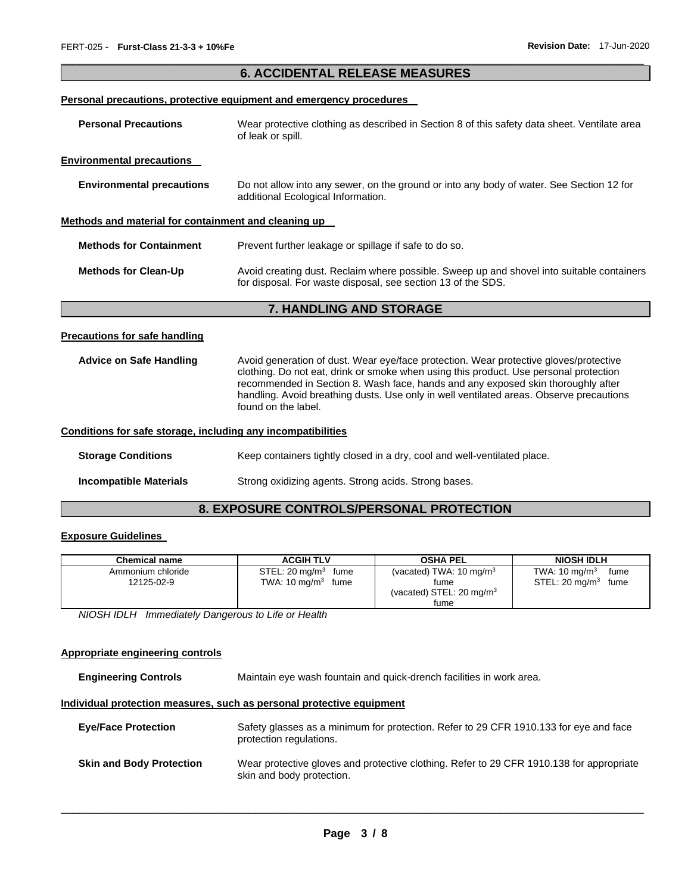## \_\_\_\_\_\_\_\_\_\_\_\_\_\_\_\_\_\_\_\_\_\_\_\_\_\_\_\_\_\_\_\_\_\_\_\_\_\_\_\_\_\_\_\_\_\_\_\_\_\_\_\_\_\_\_\_\_\_\_\_\_\_\_\_\_\_\_\_\_\_\_\_\_\_\_\_\_\_\_\_\_\_\_\_\_\_\_\_\_\_\_\_\_ **6. ACCIDENTAL RELEASE MEASURES**

### **Personal precautions, protective equipment and emergency procedures**

| <b>Personal Precautions</b>                          | Wear protective clothing as described in Section 8 of this safety data sheet. Ventilate area<br>of leak or spill.                                         |  |  |
|------------------------------------------------------|-----------------------------------------------------------------------------------------------------------------------------------------------------------|--|--|
| <b>Environmental precautions</b>                     |                                                                                                                                                           |  |  |
| <b>Environmental precautions</b>                     | Do not allow into any sewer, on the ground or into any body of water. See Section 12 for<br>additional Ecological Information.                            |  |  |
| Methods and material for containment and cleaning up |                                                                                                                                                           |  |  |
| <b>Methods for Containment</b>                       | Prevent further leakage or spillage if safe to do so.                                                                                                     |  |  |
| <b>Methods for Clean-Up</b>                          | Avoid creating dust. Reclaim where possible. Sweep up and shovel into suitable containers<br>for disposal. For waste disposal, see section 13 of the SDS. |  |  |
|                                                      | <b>7. HANDLING AND STORAGE</b>                                                                                                                            |  |  |
|                                                      |                                                                                                                                                           |  |  |

#### **Precautions for safe handling**

| <b>Advice on Safe Handling</b> | Avoid generation of dust. Wear eye/face protection. Wear protective gloves/protective<br>clothing. Do not eat, drink or smoke when using this product. Use personal protection<br>recommended in Section 8. Wash face, hands and any exposed skin thoroughly after<br>handling. Avoid breathing dusts. Use only in well ventilated areas. Observe precautions<br>found on the label. |
|--------------------------------|--------------------------------------------------------------------------------------------------------------------------------------------------------------------------------------------------------------------------------------------------------------------------------------------------------------------------------------------------------------------------------------|
|                                |                                                                                                                                                                                                                                                                                                                                                                                      |

#### **Conditions for safe storage, including any incompatibilities**

**Storage Conditions Keep containers tightly closed in a dry, cool and well-ventilated place.** 

**Incompatible Materials** Strong oxidizing agents. Strong acids. Strong bases.

## **8. EXPOSURE CONTROLS/PERSONAL PROTECTION**

#### **Exposure Guidelines**

| <b>Chemical name</b>            | <b>ACGIH TLV</b>                                           | <b>OSHA PEL</b>                                                                   | <b>NIOSH IDLH</b>                                             |
|---------------------------------|------------------------------------------------------------|-----------------------------------------------------------------------------------|---------------------------------------------------------------|
| Ammonium chloride<br>12125-02-9 | STEL: 20 mg/m $3$<br>fume<br>TWA: $10 \text{ ma/m}^3$ fume | (vacated) TWA: $10 \text{ mg/m}^3$<br>tume<br>(vacated) STEL: 20 mg/m $3$<br>tume | TWA: $10 \text{ mg/m}^3$<br>fume<br>STEL: 20 mg/m $3$<br>fume |

*NIOSH IDLH Immediately Dangerous to Life or Health* 

## **Appropriate engineering controls**

**Engineering Controls** Maintain eye wash fountain and quick-drench facilities in work area.

#### **Individual protection measures, such as personal protective equipment**

| <b>Eve/Face Protection</b>      | Safety glasses as a minimum for protection. Refer to 29 CFR 1910.133 for eye and face<br>protection regulations.      |
|---------------------------------|-----------------------------------------------------------------------------------------------------------------------|
| <b>Skin and Body Protection</b> | Wear protective gloves and protective clothing. Refer to 29 CFR 1910.138 for appropriate<br>skin and body protection. |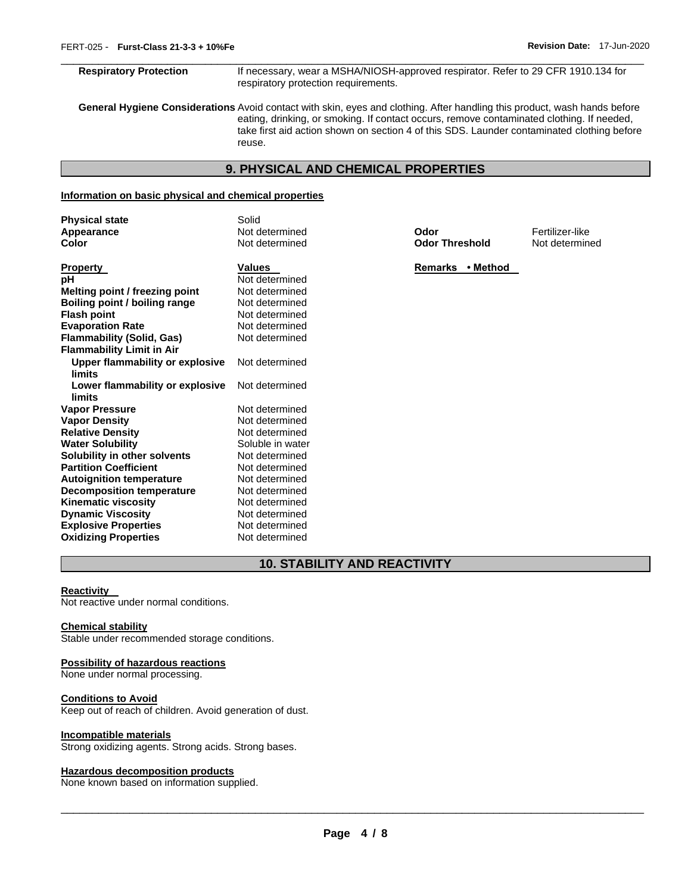\_\_\_\_\_\_\_\_\_\_\_\_\_\_\_\_\_\_\_\_\_\_\_\_\_\_\_\_\_\_\_\_\_\_\_\_\_\_\_\_\_\_\_\_\_\_\_\_\_\_\_\_\_\_\_\_\_\_\_\_\_\_\_\_\_\_\_\_\_\_\_\_\_\_\_\_\_\_\_\_\_\_\_\_\_\_\_\_\_\_\_\_\_ **Respiratory Protection** If necessary, wear a MSHA/NIOSH-approved respirator. Refer to 29 CFR 1910.134 for respiratory protection requirements.

**General Hygiene Considerations** Avoid contact with skin, eyes and clothing. After handling this product, wash hands before eating, drinking, or smoking. If contact occurs, remove contaminated clothing. If needed, take first aid action shown on section 4 of this SDS. Launder contaminated clothing before reuse.

## **9. PHYSICAL AND CHEMICAL PROPERTIES**

## **Information on basic physical and chemical properties**

| <b>Physical state</b><br>Appearance              | Solid<br>Not determined | Odor                  | Fertilizer-like |
|--------------------------------------------------|-------------------------|-----------------------|-----------------|
| Color                                            | Not determined          | <b>Odor Threshold</b> | Not determined  |
| <b>Property</b>                                  | <b>Values</b>           | Remarks • Method      |                 |
| рH                                               | Not determined          |                       |                 |
| Melting point / freezing point                   | Not determined          |                       |                 |
| Boiling point / boiling range                    | Not determined          |                       |                 |
| <b>Flash point</b>                               | Not determined          |                       |                 |
| <b>Evaporation Rate</b>                          | Not determined          |                       |                 |
| <b>Flammability (Solid, Gas)</b>                 | Not determined          |                       |                 |
| <b>Flammability Limit in Air</b>                 |                         |                       |                 |
| <b>Upper flammability or explosive</b><br>limits | Not determined          |                       |                 |
| Lower flammability or explosive<br>limits        | Not determined          |                       |                 |
| <b>Vapor Pressure</b>                            | Not determined          |                       |                 |
| <b>Vapor Density</b>                             | Not determined          |                       |                 |
| <b>Relative Density</b>                          | Not determined          |                       |                 |
| <b>Water Solubility</b>                          | Soluble in water        |                       |                 |
| Solubility in other solvents                     | Not determined          |                       |                 |
| <b>Partition Coefficient</b>                     | Not determined          |                       |                 |
| <b>Autoignition temperature</b>                  | Not determined          |                       |                 |
| <b>Decomposition temperature</b>                 | Not determined          |                       |                 |
| <b>Kinematic viscosity</b>                       | Not determined          |                       |                 |
| <b>Dynamic Viscosity</b>                         | Not determined          |                       |                 |
| <b>Explosive Properties</b>                      | Not determined          |                       |                 |
| <b>Oxidizing Properties</b>                      | Not determined          |                       |                 |

## **10. STABILITY AND REACTIVITY**

#### **Reactivity**

Not reactive under normal conditions.

#### **Chemical stability**

Stable under recommended storage conditions.

#### **Possibility of hazardous reactions**

None under normal processing.

## **Conditions to Avoid**

Keep out of reach of children. Avoid generation of dust.

#### **Incompatible materials**

Strong oxidizing agents. Strong acids. Strong bases.

#### **Hazardous decomposition products**

None known based on information supplied.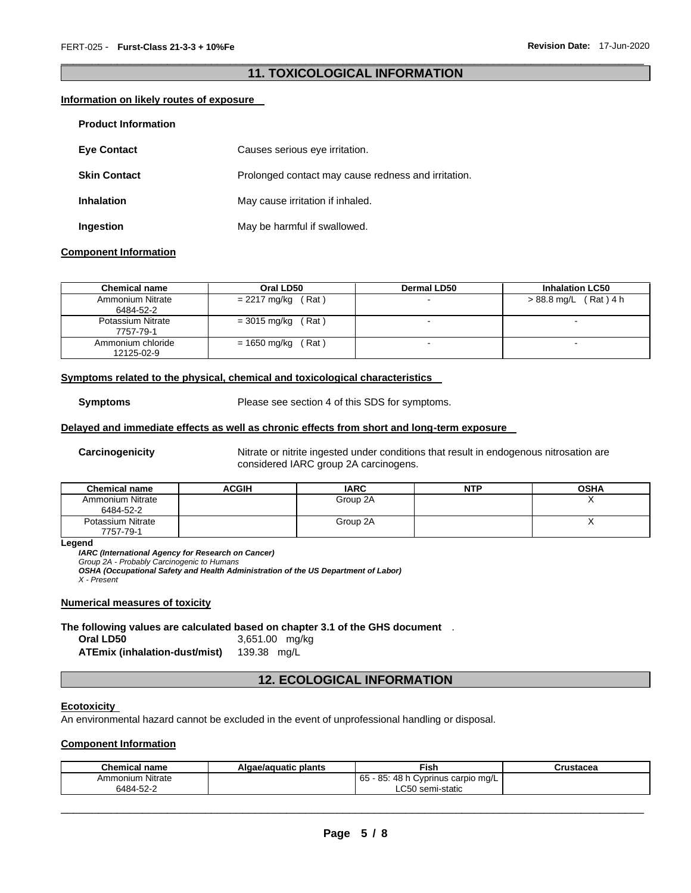## \_\_\_\_\_\_\_\_\_\_\_\_\_\_\_\_\_\_\_\_\_\_\_\_\_\_\_\_\_\_\_\_\_\_\_\_\_\_\_\_\_\_\_\_\_\_\_\_\_\_\_\_\_\_\_\_\_\_\_\_\_\_\_\_\_\_\_\_\_\_\_\_\_\_\_\_\_\_\_\_\_\_\_\_\_\_\_\_\_\_\_\_\_ **11. TOXICOLOGICAL INFORMATION**

#### **Information on likely routes of exposure**

| <b>Product Information</b> |                                                     |
|----------------------------|-----------------------------------------------------|
| <b>Eve Contact</b>         | Causes serious eye irritation.                      |
| <b>Skin Contact</b>        | Prolonged contact may cause redness and irritation. |
| <b>Inhalation</b>          | May cause irritation if inhaled.                    |
| Ingestion                  | May be harmful if swallowed.                        |

#### **Component Information**

| <b>Chemical name</b>            | Oral LD50             | <b>Dermal LD50</b> | <b>Inhalation LC50</b>   |
|---------------------------------|-----------------------|--------------------|--------------------------|
| Ammonium Nitrate<br>6484-52-2   | $= 2217$ mg/kg (Rat)  |                    | $> 88.8$ mg/L (Rat) 4 h  |
| Potassium Nitrate<br>7757-79-1  | $=$ 3015 mg/kg (Rat)  |                    |                          |
| Ammonium chloride<br>12125-02-9 | = 1650 mg/kg<br>(Rat) |                    | $\overline{\phantom{0}}$ |

#### **Symptoms related to the physical, chemical and toxicological characteristics**

**Symptoms** Please see section 4 of this SDS for symptoms.

#### **Delayed and immediate effects as well as chronic effects from short and long-term exposure**

**Carcinogenicity** Nitrate or nitrite ingested under conditions that result in endogenous nitrosation are considered IARC group 2A carcinogens.

| <b>Chemical name</b>           | ACGIH | <b>IARC</b> | NTP | <b>OSHA</b> |
|--------------------------------|-------|-------------|-----|-------------|
| Ammonium Nitrate<br>6484-52-2  |       | Group 2A    |     |             |
| Potassium Nitrate<br>7757-79-1 |       | Group 2A    |     |             |

**Legend** 

*IARC (International Agency for Research on Cancer)*

*Group 2A - Probably Carcinogenic to Humans* 

*OSHA (Occupational Safety and Health Administration of the US Department of Labor)*

*X - Present* 

#### **Numerical measures of toxicity**

#### **The following values are calculated based on chapter 3.1 of the GHS document** .

**Oral LD50** 3,651.00 mg/kg **ATEmix (inhalation-dust/mist)** 139.38 mg/L

## **12. ECOLOGICAL INFORMATION**

#### **Ecotoxicity**

An environmental hazard cannot be excluded in the event of unprofessional handling or disposal.

#### **Component Information**

| <b>Chemical name</b>    | Algae/aguatic plants | <b>Fish</b>                             | Crustacea |
|-------------------------|----------------------|-----------------------------------------|-----------|
| <b>Ammonium Nitrate</b> |                      | 65<br>5 - 85: 48 h Cyprinus carpio mg/L |           |
| 6484-52-2               |                      | LC50 semi-static                        |           |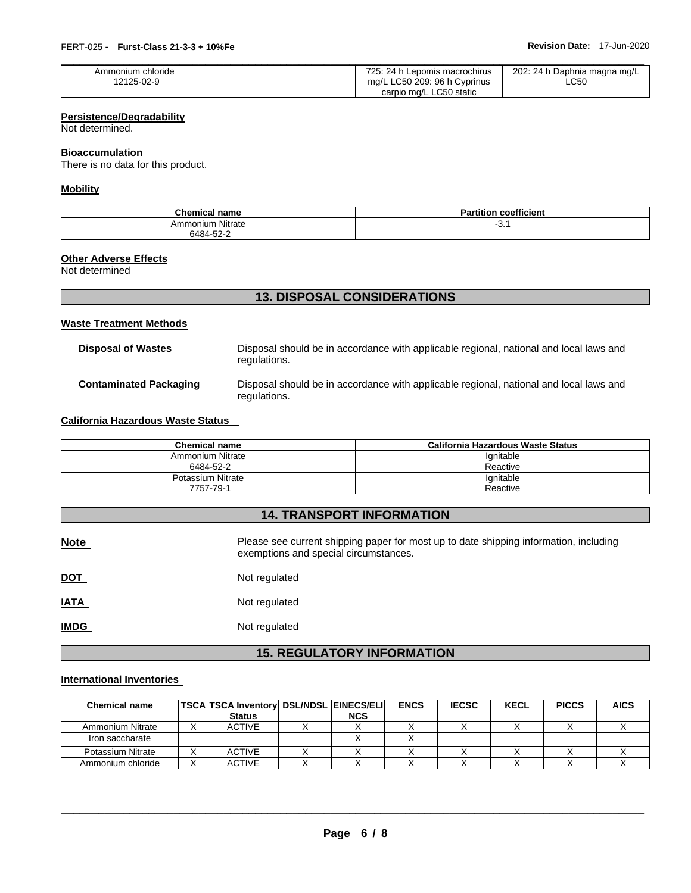| Ammonium chloride | 725: 24 h Lepomis macrochirus | 202: 24 h Daphnia magna mg/L |
|-------------------|-------------------------------|------------------------------|
| 12125-02-9        | mg/L LC50 209: 96 h Cyprinus  | LC50                         |
|                   | carpio mg/L LC50 static       |                              |

## **Persistence/Degradability**

Not determined.

## **Bioaccumulation**

There is no data for this product.

## **Mobility**

| <b>Chemical name</b>    | Do.<br>coefficient<br>artition |
|-------------------------|--------------------------------|
| <b>Ammonium Nitrate</b> | ັບ.                            |
| 6484-52-2<br>______     |                                |

#### **Other Adverse Effects**

Not determined

## **13. DISPOSAL CONSIDERATIONS**

## **Waste Treatment Methods**

| Disposal of Wastes     | Disposal should be in accordance with applicable regional, national and local laws and<br>regulations. |
|------------------------|--------------------------------------------------------------------------------------------------------|
| Contaminated Packaging | Disposal should be in accordance with applicable regional, national and local laws and<br>regulations. |

#### **California Hazardous Waste Status**

| Chemical name                 | California Hazardous Waste Status |
|-------------------------------|-----------------------------------|
| Ammonium Nitrate<br>6484-52-2 | Ignitable<br>Reactive             |
| Potassium Nitrate             | Ignitable                         |
| 7757-79-1                     | Reactive                          |

## **14. TRANSPORT INFORMATION**

| <b>Note</b> | Please see current shipping paper for most up to date shipping information, including<br>exemptions and special circumstances. |
|-------------|--------------------------------------------------------------------------------------------------------------------------------|
| <u>DOT</u>  | Not regulated                                                                                                                  |
| <b>IATA</b> | Not regulated                                                                                                                  |
| <b>IMDG</b> | Not regulated                                                                                                                  |

## **15. REGULATORY INFORMATION**

## **International Inventories**

| <b>Chemical name</b> | <b>TSCA TSCA Inventory DSL/NDSL EINECS/ELI</b> |            | <b>ENCS</b> | <b>IECSC</b> | <b>KECL</b> | <b>PICCS</b> | <b>AICS</b> |
|----------------------|------------------------------------------------|------------|-------------|--------------|-------------|--------------|-------------|
|                      | <b>Status</b>                                  | <b>NCS</b> |             |              |             |              |             |
| Ammonium Nitrate     | ACTIVE                                         |            |             |              |             |              |             |
| Iron saccharate      |                                                |            |             |              |             |              |             |
| Potassium Nitrate    | <b>ACTIVE</b>                                  |            |             |              |             |              |             |
| Ammonium chloride    | <b>ACTIVE</b>                                  |            |             |              |             |              |             |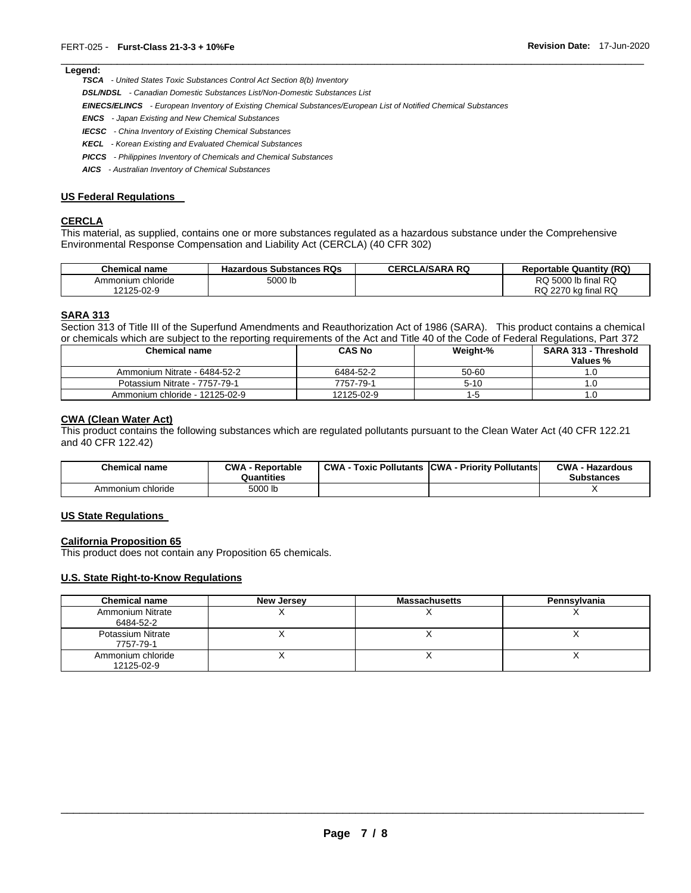## \_\_\_\_\_\_\_\_\_\_\_\_\_\_\_\_\_\_\_\_\_\_\_\_\_\_\_\_\_\_\_\_\_\_\_\_\_\_\_\_\_\_\_\_\_\_\_\_\_\_\_\_\_\_\_\_\_\_\_\_\_\_\_\_\_\_\_\_\_\_\_\_\_\_\_\_\_\_\_\_\_\_\_\_\_\_\_\_\_\_\_\_\_ **Legend:**

*TSCA - United States Toxic Substances Control Act Section 8(b) Inventory* 

*DSL/NDSL - Canadian Domestic Substances List/Non-Domestic Substances List* 

*EINECS/ELINCS - European Inventory of Existing Chemical Substances/European List of Notified Chemical Substances* 

- *ENCS - Japan Existing and New Chemical Substances*
- *IECSC - China Inventory of Existing Chemical Substances*
- *KECL - Korean Existing and Evaluated Chemical Substances*
- *PICCS - Philippines Inventory of Chemicals and Chemical Substances*
- *AICS - Australian Inventory of Chemical Substances*

#### **US Federal Regulations**

## **CERCLA**

This material, as supplied, contains one or more substances regulated as a hazardous substance under the Comprehensive Environmental Response Compensation and Liability Act (CERCLA) (40 CFR 302)

| <b>Chemical name</b> | <b>Hazardous Substances RQs</b> | <b>CERCLA/SARA RQ</b> | <b>Reportable Quantity (RQ)</b> |
|----------------------|---------------------------------|-----------------------|---------------------------------|
| Ammonium chloride    | 5000 lb                         |                       | RQ 5000 lb final RQ             |
| 12125-02-9           |                                 |                       | RQ 2270 kg final RQ             |

#### **SARA 313**

Section 313 of Title III of the Superfund Amendments and Reauthorization Act of 1986 (SARA). This product contains a chemical or chemicals which are subject to the reporting requirements of the Act and Title 40 of the Code of Federal Regulations, Part 372

| <b>Chemical name</b>           | <b>CAS No</b> | Weight-% | <b>SARA 313 - Threshold</b><br>Values % |
|--------------------------------|---------------|----------|-----------------------------------------|
| Ammonium Nitrate - 6484-52-2   | 6484-52-2     | 50-60    |                                         |
| Potassium Nitrate - 7757-79-1  | 7757-79-1     | $5 - 10$ | . .U                                    |
| Ammonium chloride - 12125-02-9 | 12125-02-9    | l - h    | ۱.U                                     |

#### **CWA (Clean Water Act)**

This product contains the following substances which are regulated pollutants pursuant to the Clean Water Act (40 CFR 122.21 and 40 CFR 122.42)

| <b>Chemical name</b> | <b>CWA - Reportable</b><br>Quantities | <b>CWA - Toxic Pollutants CWA - Priority Pollutants</b> | <b>CWA - Hazardous</b><br><b>Substances</b> |
|----------------------|---------------------------------------|---------------------------------------------------------|---------------------------------------------|
| Ammonium chloride    | 5000 lb                               |                                                         |                                             |

## **US State Regulations**

#### **California Proposition 65**

This product does not contain any Proposition 65 chemicals.

#### **U.S. State Right-to-Know Regulations**

| <b>Chemical name</b>                 | New Jersey | <b>Massachusetts</b> | Pennsylvania |
|--------------------------------------|------------|----------------------|--------------|
| <b>Ammonium Nitrate</b><br>6484-52-2 |            |                      |              |
| Potassium Nitrate<br>7757-79-1       |            |                      |              |
| Ammonium chloride<br>12125-02-9      |            |                      |              |